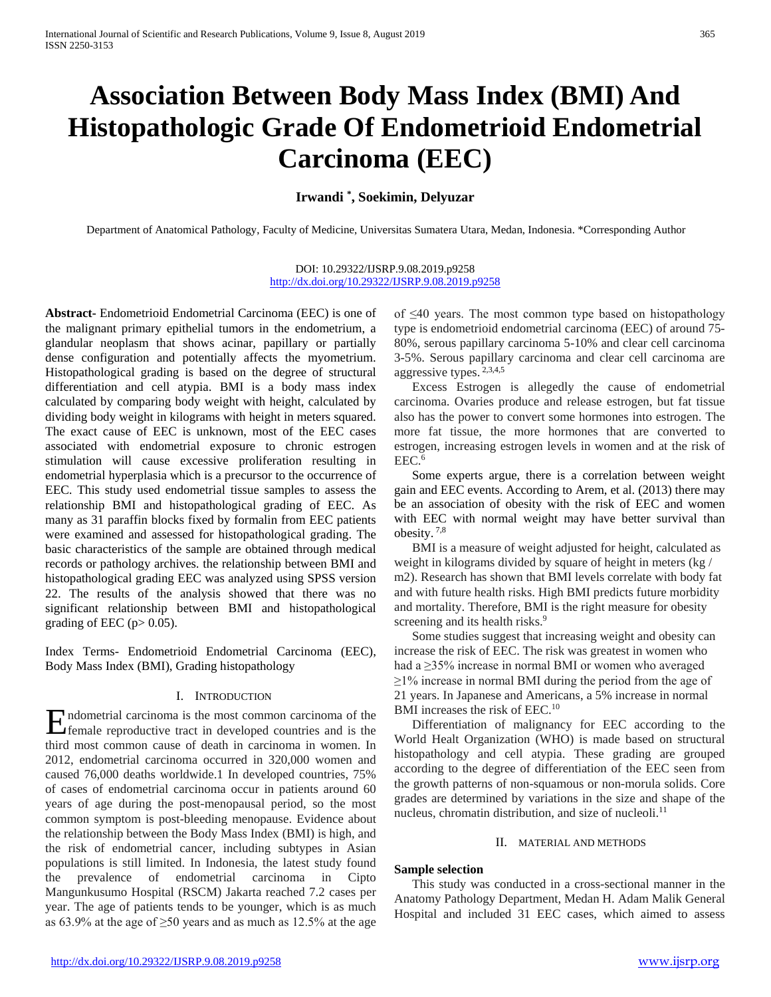# **Association Between Body Mass Index (BMI) And Histopathologic Grade Of Endometrioid Endometrial Carcinoma (EEC)**

# **Irwandi \* , Soekimin, Delyuzar**

Department of Anatomical Pathology, Faculty of Medicine, Universitas Sumatera Utara, Medan, Indonesia. \*Corresponding Author

#### DOI: 10.29322/IJSRP.9.08.2019.p9258 <http://dx.doi.org/10.29322/IJSRP.9.08.2019.p9258>

**Abstract-** Endometrioid Endometrial Carcinoma (EEC) is one of the malignant primary epithelial tumors in the endometrium, a glandular neoplasm that shows acinar, papillary or partially dense configuration and potentially affects the myometrium. Histopathological grading is based on the degree of structural differentiation and cell atypia. BMI is a body mass index calculated by comparing body weight with height, calculated by dividing body weight in kilograms with height in meters squared. The exact cause of EEC is unknown, most of the EEC cases associated with endometrial exposure to chronic estrogen stimulation will cause excessive proliferation resulting in endometrial hyperplasia which is a precursor to the occurrence of EEC. This study used endometrial tissue samples to assess the relationship BMI and histopathological grading of EEC. As many as 31 paraffin blocks fixed by formalin from EEC patients were examined and assessed for histopathological grading. The basic characteristics of the sample are obtained through medical records or pathology archives. the relationship between BMI and histopathological grading EEC was analyzed using SPSS version 22. The results of the analysis showed that there was no significant relationship between BMI and histopathological grading of EEC ( $p > 0.05$ ).

Index Terms- Endometrioid Endometrial Carcinoma (EEC), Body Mass Index (BMI), Grading histopathology

#### I. INTRODUCTION

Endometrial carcinoma is the most common carcinoma of the female reproductive tract in developed countries and is the female reproductive tract in developed countries and is the third most common cause of death in carcinoma in women. In 2012, endometrial carcinoma occurred in 320,000 women and caused 76,000 deaths worldwide.1 In developed countries, 75% of cases of endometrial carcinoma occur in patients around 60 years of age during the post-menopausal period, so the most common symptom is post-bleeding menopause. Evidence about the relationship between the Body Mass Index (BMI) is high, and the risk of endometrial cancer, including subtypes in Asian populations is still limited. In Indonesia, the latest study found the prevalence of endometrial carcinoma in Cipto Mangunkusumo Hospital (RSCM) Jakarta reached 7.2 cases per year. The age of patients tends to be younger, which is as much as 63.9% at the age of  $\geq$ 50 years and as much as 12.5% at the age

of ≤40 years. The most common type based on histopathology type is endometrioid endometrial carcinoma (EEC) of around 75- 80%, serous papillary carcinoma 5-10% and clear cell carcinoma 3-5%. Serous papillary carcinoma and clear cell carcinoma are aggressive types. 2,3,4,5

Excess Estrogen is allegedly the cause of endometrial carcinoma. Ovaries produce and release estrogen, but fat tissue also has the power to convert some hormones into estrogen. The more fat tissue, the more hormones that are converted to estrogen, increasing estrogen levels in women and at the risk of EEC.6

Some experts argue, there is a correlation between weight gain and EEC events. According to Arem, et al. (2013) there may be an association of obesity with the risk of EEC and women with EEC with normal weight may have better survival than obesity. 7,8

BMI is a measure of weight adjusted for height, calculated as weight in kilograms divided by square of height in meters (kg / m2). Research has shown that BMI levels correlate with body fat and with future health risks. High BMI predicts future morbidity and mortality. Therefore, BMI is the right measure for obesity screening and its health risks.<sup>9</sup>

Some studies suggest that increasing weight and obesity can increase the risk of EEC. The risk was greatest in women who had a ≥35% increase in normal BMI or women who averaged  $\geq$ 1% increase in normal BMI during the period from the age of 21 years. In Japanese and Americans, a 5% increase in normal BMI increases the risk of EEC.<sup>10</sup>

Differentiation of malignancy for EEC according to the World Healt Organization (WHO) is made based on structural histopathology and cell atypia. These grading are grouped according to the degree of differentiation of the EEC seen from the growth patterns of non-squamous or non-morula solids. Core grades are determined by variations in the size and shape of the nucleus, chromatin distribution, and size of nucleoli.<sup>11</sup>

### II. MATERIAL AND METHODS

#### **Sample selection**

This study was conducted in a cross-sectional manner in the Anatomy Pathology Department, Medan H. Adam Malik General Hospital and included 31 EEC cases, which aimed to assess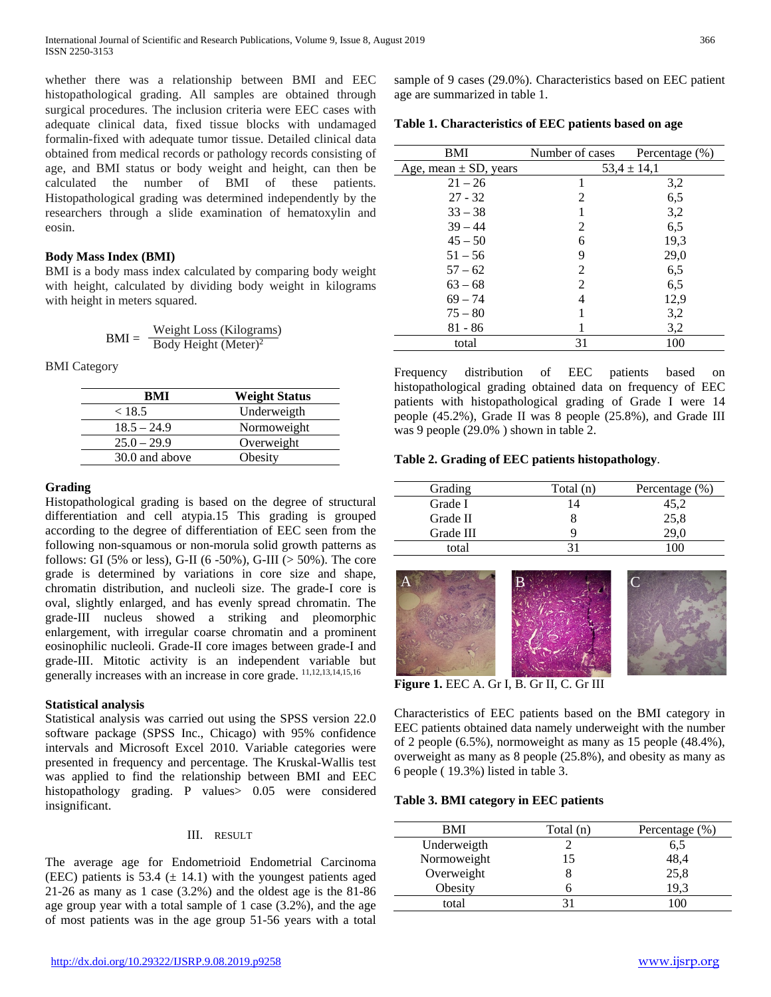whether there was a relationship between BMI and EEC histopathological grading. All samples are obtained through surgical procedures. The inclusion criteria were EEC cases with adequate clinical data, fixed tissue blocks with undamaged formalin-fixed with adequate tumor tissue. Detailed clinical data obtained from medical records or pathology records consisting of age, and BMI status or body weight and height, can then be calculated the number of BMI of these patients. Histopathological grading was determined independently by the researchers through a slide examination of hematoxylin and eosin.

# **Body Mass Index (BMI)**

BMI is a body mass index calculated by comparing body weight with height, calculated by dividing body weight in kilograms with height in meters squared.

$$
BMI = \frac{Weight Loss (Kilograms)}{Body Height (Meter)^2}
$$

BMI Category

| <b>Weight Status</b> |  |  |  |
|----------------------|--|--|--|
| Underweigth          |  |  |  |
| Normoweight          |  |  |  |
| Overweight           |  |  |  |
| Obesity              |  |  |  |
|                      |  |  |  |

## **Grading**

Histopathological grading is based on the degree of structural differentiation and cell atypia.15 This grading is grouped according to the degree of differentiation of EEC seen from the following non-squamous or non-morula solid growth patterns as follows: GI (5% or less), G-II (6 -50%), G-III (> 50%). The core grade is determined by variations in core size and shape, chromatin distribution, and nucleoli size. The grade-I core is oval, slightly enlarged, and has evenly spread chromatin. The grade-III nucleus showed a striking and pleomorphic enlargement, with irregular coarse chromatin and a prominent eosinophilic nucleoli. Grade-II core images between grade-I and grade-III. Mitotic activity is an independent variable but generally increases with an increase in core grade. 11,12,13,14,15,16

#### **Statistical analysis**

Statistical analysis was carried out using the SPSS version 22.0 software package (SPSS Inc., Chicago) with 95% confidence intervals and Microsoft Excel 2010. Variable categories were presented in frequency and percentage. The Kruskal-Wallis test was applied to find the relationship between BMI and EEC histopathology grading. P values > 0.05 were considered insignificant.

#### III. RESULT

The average age for Endometrioid Endometrial Carcinoma (EEC) patients is 53.4 ( $\pm$  14.1) with the youngest patients aged 21-26 as many as 1 case (3.2%) and the oldest age is the 81-86 age group year with a total sample of 1 case (3.2%), and the age of most patients was in the age group 51-56 years with a total

**Table 1. Characteristics of EEC patients based on age**

| BMI                       | Number of cases | Percentage (%) |  |  |
|---------------------------|-----------------|----------------|--|--|
| Age, mean $\pm$ SD, years | $53.4 \pm 14.1$ |                |  |  |
| $21 - 26$                 |                 | 3,2            |  |  |
| $27 - 32$                 | 2               | 6,5            |  |  |
| $33 - 38$                 |                 | 3,2            |  |  |
| $39 - 44$                 | 2               | 6,5            |  |  |
| $45 - 50$                 | 6               | 19.3           |  |  |
| $51 - 56$                 | 9               | 29,0           |  |  |
| $57 - 62$                 | 2               | 6,5            |  |  |
| $63 - 68$                 | $\mathfrak{D}$  | 6,5            |  |  |
| $69 - 74$                 | 4               | 12,9           |  |  |
| $75 - 80$                 |                 | 3,2            |  |  |
| $81 - 86$                 |                 | 3,2            |  |  |
| total                     | 31              | 100            |  |  |

Frequency distribution of EEC patients based on histopathological grading obtained data on frequency of EEC patients with histopathological grading of Grade I were 14 people (45.2%), Grade II was 8 people (25.8%), and Grade III was 9 people (29.0% ) shown in table 2.

## **Table 2. Grading of EEC patients histopathology**.

| Grading   | Total (n)      | Percentage (%) |
|-----------|----------------|----------------|
| Grade I   | $\overline{4}$ | 45,2           |
| Grade II  |                | 25,8           |
| Grade III |                |                |
| total     |                |                |



**Figure 1.** EEC A. Gr I, B. Gr II, C. Gr III

Characteristics of EEC patients based on the BMI category in EEC patients obtained data namely underweight with the number of 2 people (6.5%), normoweight as many as 15 people (48.4%), overweight as many as 8 people (25.8%), and obesity as many as 6 people ( 19.3%) listed in table 3.

#### **Table 3. BMI category in EEC patients**

| Total (n) | Percentage (%) |
|-----------|----------------|
|           | 6,5            |
| 15        | 48,4<br>25,8   |
|           |                |
| n         | 19.3           |
|           |                |
|           |                |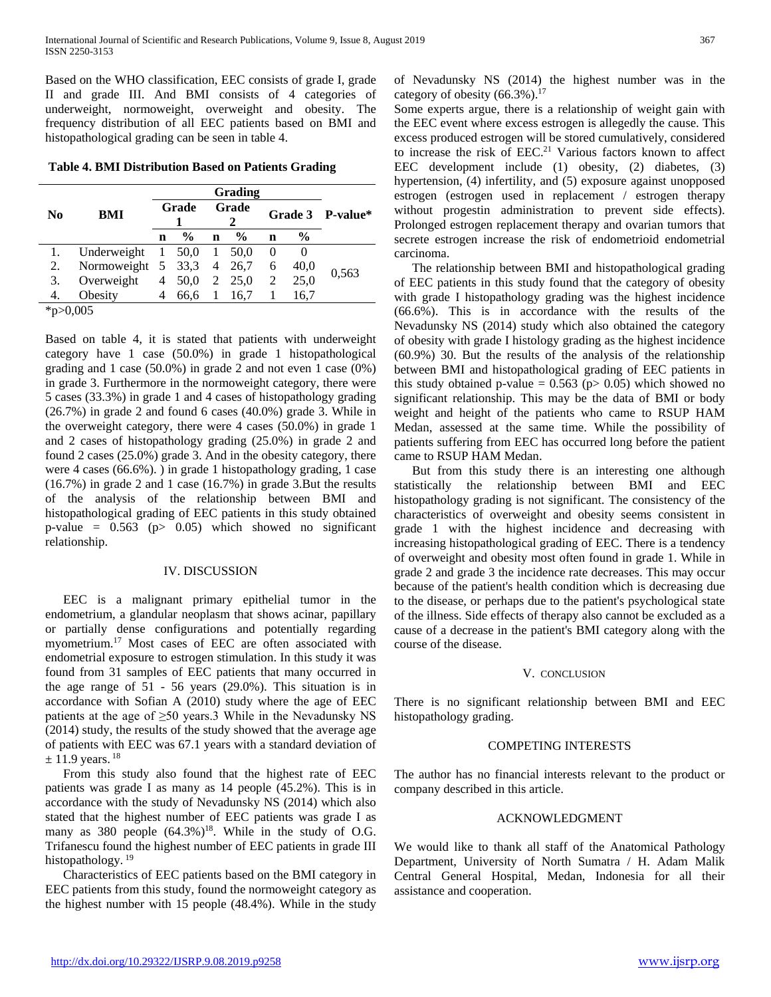Based on the WHO classification, EEC consists of grade I, grade II and grade III. And BMI consists of 4 categories of underweight, normoweight, overweight and obesity. The frequency distribution of all EEC patients based on BMI and histopathological grading can be seen in table 4.

**Table 4. BMI Distribution Based on Patients Grading**

|                           |                           | Grading        |               |             |               |     |               |                  |  |
|---------------------------|---------------------------|----------------|---------------|-------------|---------------|-----|---------------|------------------|--|
| N <sub>0</sub>            | <b>BMI</b>                | Grade          |               | Grade       |               |     |               | Grade 3 P-value* |  |
|                           |                           | n              | $\frac{0}{0}$ | $\mathbf n$ | $\frac{6}{9}$ | n   | $\frac{6}{9}$ |                  |  |
|                           | Underweight $1\,50.0\,1$  |                |               |             | 50,0          | - 0 | $\theta$      |                  |  |
| 2.                        | Normoweight 5 33,3 4 26,7 |                |               |             |               | 6   | 40.0          | 0,563            |  |
| 3.                        | Overweight                | $\overline{4}$ | 50.0 2 25.0   |             |               | 2   | 25,0          |                  |  |
| 4.                        | Obesity                   |                | 66.6          |             | 16.7          |     | 16.7          |                  |  |
| $\mathbf{a}$ $\mathbf{a}$ |                           |                |               |             |               |     |               |                  |  |

\*p>0,005

Based on table 4, it is stated that patients with underweight category have 1 case (50.0%) in grade 1 histopathological grading and 1 case (50.0%) in grade 2 and not even 1 case (0%) in grade 3. Furthermore in the normoweight category, there were 5 cases (33.3%) in grade 1 and 4 cases of histopathology grading (26.7%) in grade 2 and found 6 cases (40.0%) grade 3. While in the overweight category, there were 4 cases (50.0%) in grade 1 and 2 cases of histopathology grading (25.0%) in grade 2 and found 2 cases (25.0%) grade 3. And in the obesity category, there were 4 cases (66.6%). ) in grade 1 histopathology grading, 1 case (16.7%) in grade 2 and 1 case (16.7%) in grade 3.But the results of the analysis of the relationship between BMI and histopathological grading of EEC patients in this study obtained p-value =  $0.563$  (p>  $0.05$ ) which showed no significant relationship.

#### IV. DISCUSSION

EEC is a malignant primary epithelial tumor in the endometrium, a glandular neoplasm that shows acinar, papillary or partially dense configurations and potentially regarding myometrium.<sup>17</sup> Most cases of EEC are often associated with endometrial exposure to estrogen stimulation. In this study it was found from 31 samples of EEC patients that many occurred in the age range of 51 - 56 years (29.0%). This situation is in accordance with Sofian A (2010) study where the age of EEC patients at the age of  $\geq 50$  years. While in the Nevadunsky NS (2014) study, the results of the study showed that the average age of patients with EEC was 67.1 years with a standard deviation of  $\pm$  11.9 years. <sup>18</sup>

From this study also found that the highest rate of EEC patients was grade I as many as 14 people (45.2%). This is in accordance with the study of Nevadunsky NS (2014) which also stated that the highest number of EEC patients was grade I as many as 380 people  $(64.3\%)^{18}$ . While in the study of O.G. Trifanescu found the highest number of EEC patients in grade III histopathology.<sup>19</sup>

Characteristics of EEC patients based on the BMI category in EEC patients from this study, found the normoweight category as the highest number with 15 people (48.4%). While in the study

of Nevadunsky NS (2014) the highest number was in the category of obesity  $(66.3\%)$ .<sup>17</sup>

Some experts argue, there is a relationship of weight gain with the EEC event where excess estrogen is allegedly the cause. This excess produced estrogen will be stored cumulatively, considered to increase the risk of EEC.<sup>21</sup> Various factors known to affect EEC development include (1) obesity, (2) diabetes, (3) hypertension, (4) infertility, and (5) exposure against unopposed estrogen (estrogen used in replacement / estrogen therapy without progestin administration to prevent side effects). Prolonged estrogen replacement therapy and ovarian tumors that secrete estrogen increase the risk of endometrioid endometrial carcinoma.

The relationship between BMI and histopathological grading of EEC patients in this study found that the category of obesity with grade I histopathology grading was the highest incidence (66.6%). This is in accordance with the results of the Nevadunsky NS (2014) study which also obtained the category of obesity with grade I histology grading as the highest incidence (60.9%) 30. But the results of the analysis of the relationship between BMI and histopathological grading of EEC patients in this study obtained p-value =  $0.563$  (p $> 0.05$ ) which showed no significant relationship. This may be the data of BMI or body weight and height of the patients who came to RSUP HAM Medan, assessed at the same time. While the possibility of patients suffering from EEC has occurred long before the patient came to RSUP HAM Medan.

But from this study there is an interesting one although statistically the relationship between BMI and EEC histopathology grading is not significant. The consistency of the characteristics of overweight and obesity seems consistent in grade 1 with the highest incidence and decreasing with increasing histopathological grading of EEC. There is a tendency of overweight and obesity most often found in grade 1. While in grade 2 and grade 3 the incidence rate decreases. This may occur because of the patient's health condition which is decreasing due to the disease, or perhaps due to the patient's psychological state of the illness. Side effects of therapy also cannot be excluded as a cause of a decrease in the patient's BMI category along with the course of the disease.

#### V. CONCLUSION

There is no significant relationship between BMI and EEC histopathology grading.

#### COMPETING INTERESTS

The author has no financial interests relevant to the product or company described in this article.

## ACKNOWLEDGMENT

We would like to thank all staff of the Anatomical Pathology Department, University of North Sumatra / H. Adam Malik Central General Hospital, Medan, Indonesia for all their assistance and cooperation.